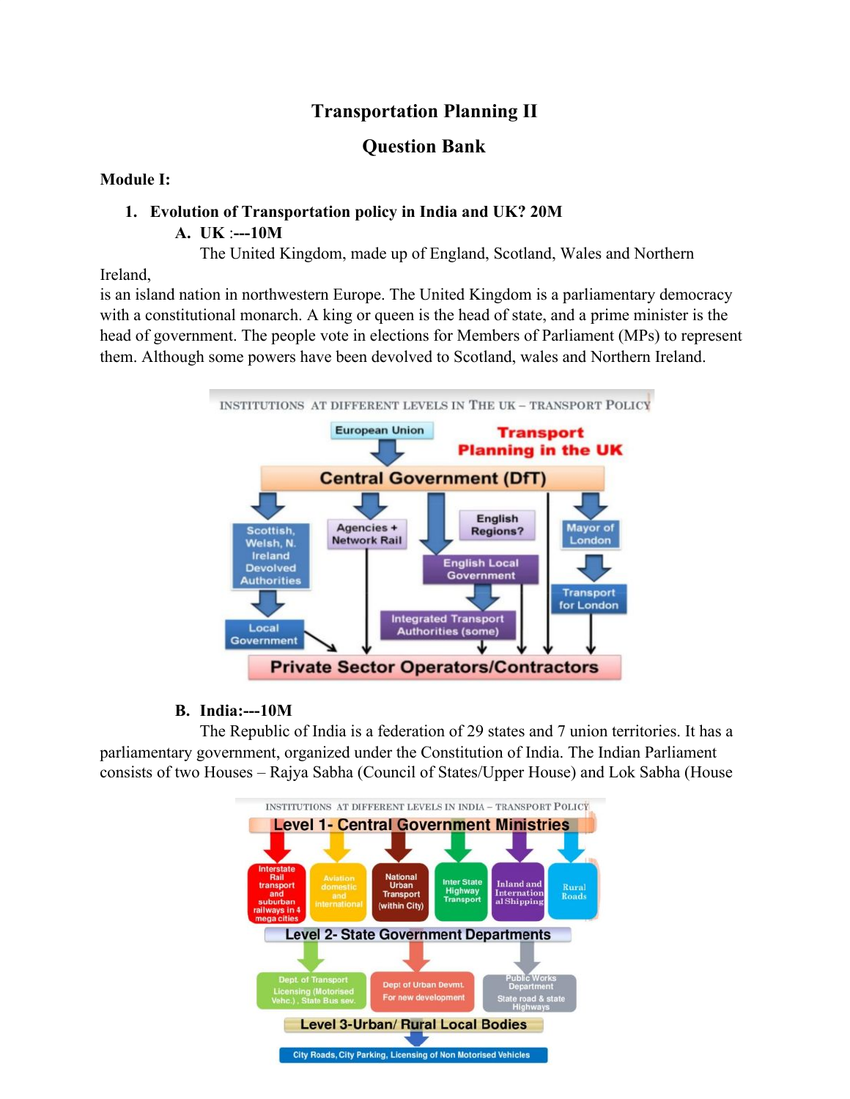# **Transportation Planning II**

# **Question Bank**

#### **Module I:**

## **1. Evolution of Transportation policy in India and UK? 20M**

**A. UK** :**---10M**

The United Kingdom, made up of England, Scotland, Wales and Northern

Ireland,

is an island nation in northwestern Europe. The United Kingdom is a parliamentary democracy with a constitutional monarch. A king or queen is the head of state, and a prime minister is the head of government. The people vote in elections for Members of Parliament (MPs) to represent them. Although some powers have been devolved to Scotland, wales and Northern Ireland.



# **B. India:---10M**

The Republic of India is a federation of 29 states and 7 union territories. It has a parliamentary government, organized under the Constitution of India. The Indian Parliament consists of two Houses – Rajya Sabha (Council of States/Upper House) and Lok Sabha (House

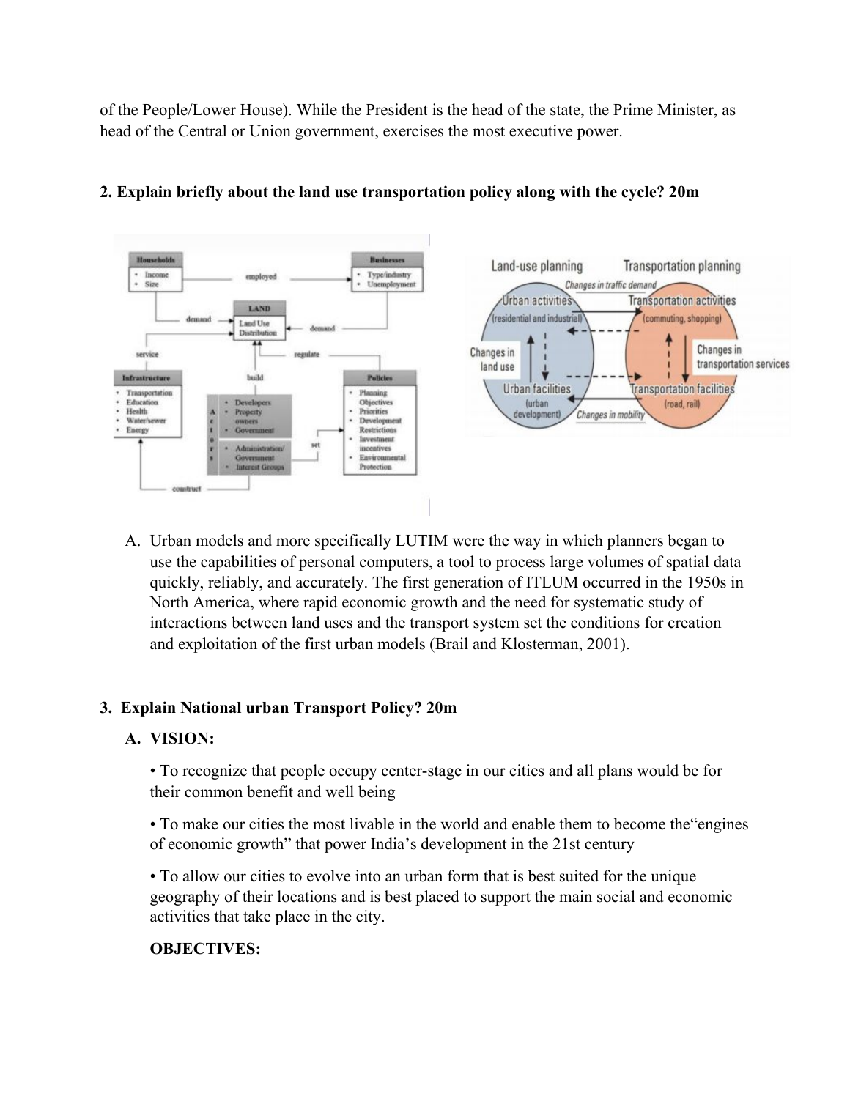of the People/Lower House). While the President is the head of the state, the Prime Minister, as head of the Central or Union government, exercises the most executive power.



## **2. Explain briefly about the land use transportation policy along with the cycle? 20m**

A. Urban models and more specifically LUTIM were the way in which planners began to use the capabilities of personal computers, a tool to process large volumes of spatial data quickly, reliably, and accurately. The first generation of ITLUM occurred in the 1950s in North America, where rapid economic growth and the need for systematic study of interactions between land uses and the transport system set the conditions for creation and exploitation of the first urban models (Brail and Klosterman, 2001).

# **3. Explain National urban Transport Policy? 20m**

#### **A. VISION:**

• To recognize that people occupy center-stage in our cities and all plans would be for their common benefit and well being

• To make our cities the most livable in the world and enable them to become the"engines of economic growth" that power India's development in the 21st century

• To allow our cities to evolve into an urban form that is best suited for the unique geography of their locations and is best placed to support the main social and economic activities that take place in the city.

# **OBJECTIVES:**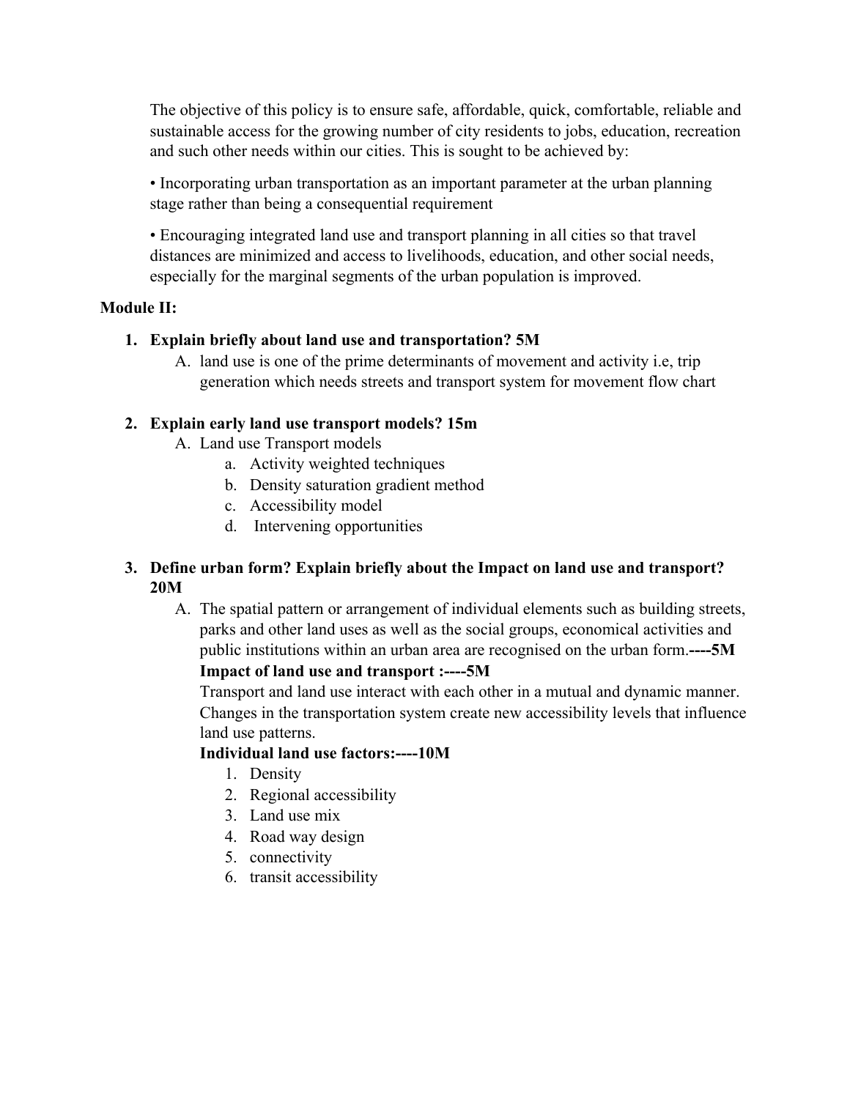The objective of this policy is to ensure safe, affordable, quick, comfortable, reliable and sustainable access for the growing number of city residents to jobs, education, recreation and such other needs within our cities. This is sought to be achieved by:

• Incorporating urban transportation as an important parameter at the urban planning stage rather than being a consequential requirement

• Encouraging integrated land use and transport planning in all cities so that travel distances are minimized and access to livelihoods, education, and other social needs, especially for the marginal segments of the urban population is improved.

#### **Module II:**

## **1. Explain briefly about land use and transportation? 5M**

A. land use is one of the prime determinants of movement and activity i.e, trip generation which needs streets and transport system for movement flow chart

## **2. Explain early land use transport models? 15m**

- A. Land use Transport models
	- a. Activity weighted techniques
	- b. Density saturation gradient method
	- c. Accessibility model
	- d. Intervening opportunities

#### **3. Define urban form? Explain briefly about the Impact on land use and transport? 20M**

A. The spatial pattern or arrangement of individual elements such as building streets, parks and other land uses as well as the social groups, economical activities and public institutions within an urban area are recognised on the urban form.**----5M Impact of land use and transport :----5M**

Transport and land use interact with each other in a mutual and dynamic manner. Changes in the transportation system create new accessibility levels that influence land use patterns.

#### **Individual land use factors:----10M**

- 1. Density
- 2. Regional accessibility
- 3. Land use mix
- 4. Road way design
- 5. connectivity
- 6. transit accessibility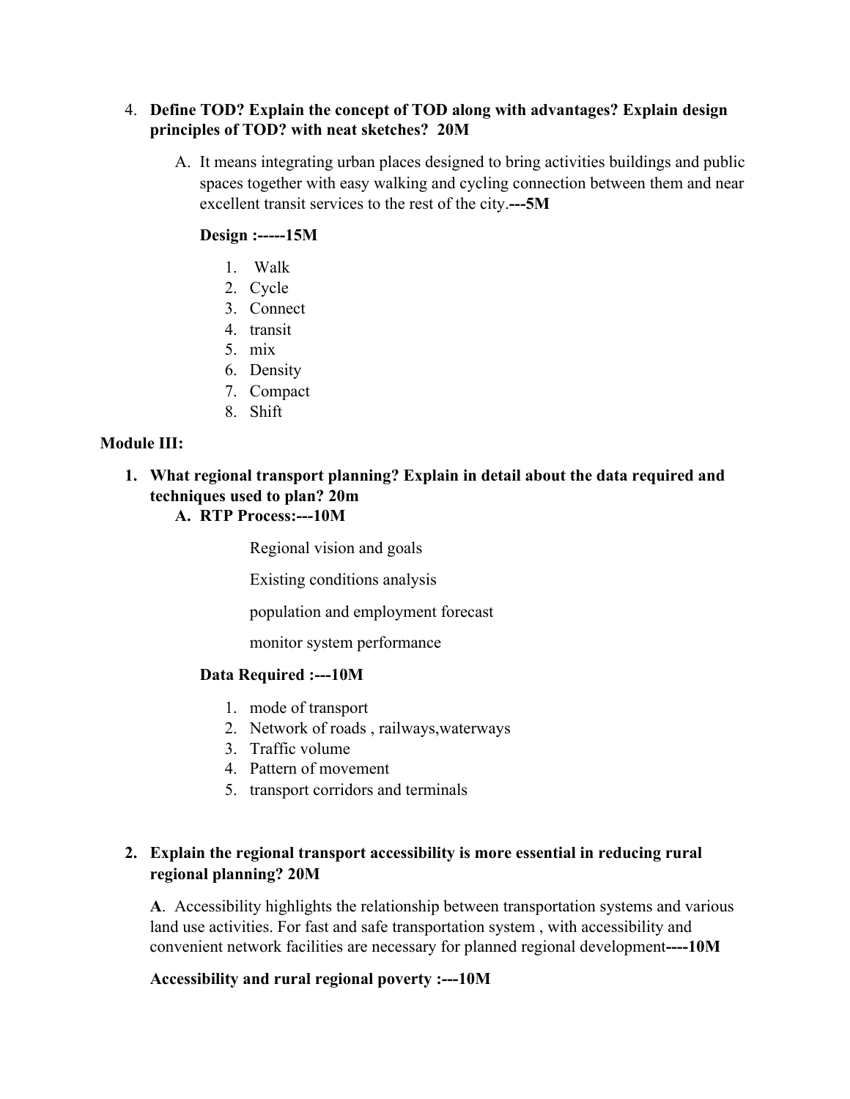#### 4. **Define TOD? Explain the concept of TOD along with advantages? Explain design principles of TOD? with neat sketches? 20M**

A. It means integrating urban places designed to bring activities buildings and public spaces together with easy walking and cycling connection between them and near excellent transit services to the rest of the city.**---5M**

## **Design :-----15M**

- 1. Walk
- 2. Cycle
- 3. Connect
- 4. transit
- 5. mix
- 6. Density
- 7. Compact
- 8. Shift

## **Module III:**

# **1. What regional transport planning? Explain in detail about the data required and techniques used to plan? 20m**

**A. RTP Process:---10M**

Regional vision and goals

Existing conditions analysis

population and employment forecast

monitor system performance

#### **Data Required :---10M**

- 1. mode of transport
- 2. Network of roads , railways,waterways
- 3. Traffic volume
- 4. Pattern of movement
- 5. transport corridors and terminals

# **2. Explain the regional transport accessibility is more essential in reducing rural regional planning? 20M**

**A**. Accessibility highlights the relationship between transportation systems and various land use activities. For fast and safe transportation system , with accessibility and convenient network facilities are necessary for planned regional development**----10M**

# **Accessibility and rural regional poverty :---10M**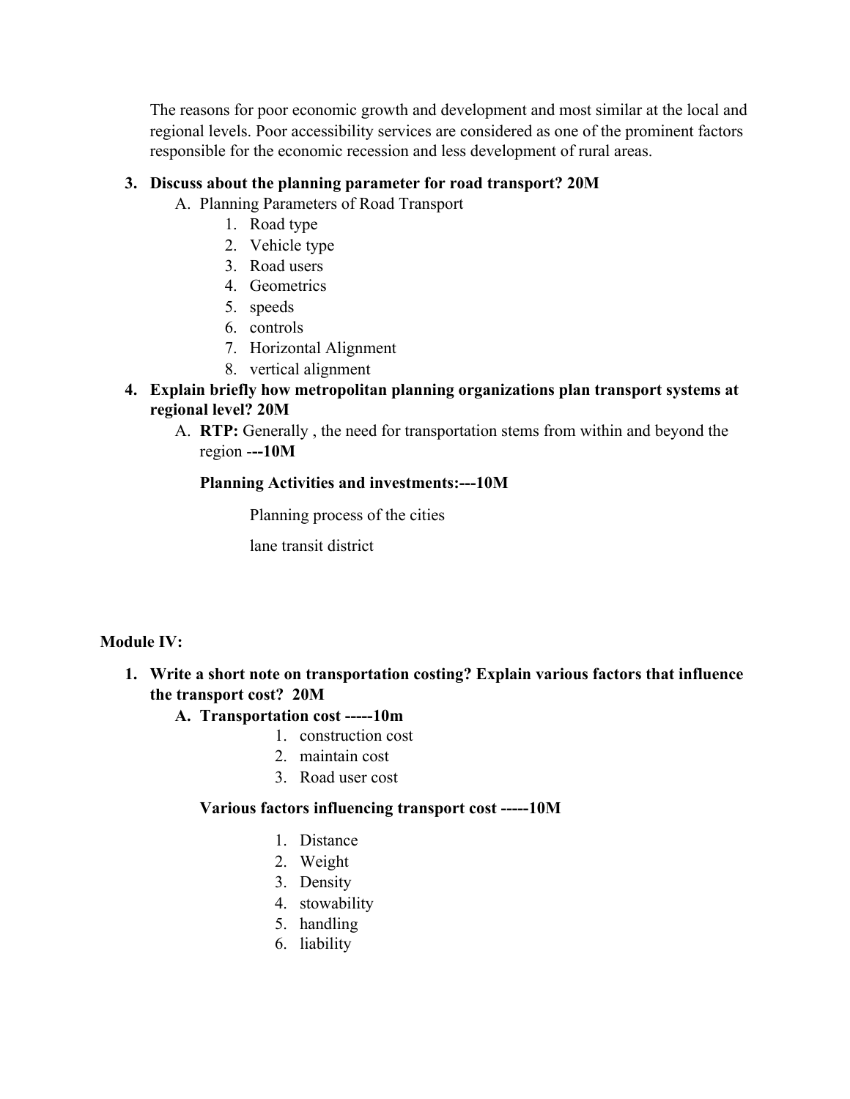The reasons for poor economic growth and development and most similar at the local and regional levels. Poor accessibility services are considered as one of the prominent factors responsible for the economic recession and less development of rural areas.

#### **3. Discuss about the planning parameter for road transport? 20M**

- A. Planning Parameters of Road Transport
	- 1. Road type
	- 2. Vehicle type
	- 3. Road users
	- 4. Geometrics
	- 5. speeds
	- 6. controls
	- 7. Horizontal Alignment
	- 8. vertical alignment
- **4. Explain briefly how metropolitan planning organizations plan transport systems at regional level? 20M**
	- A. **RTP:** Generally , the need for transportation stems from within and beyond the region -**--10M**

#### **Planning Activities and investments:---10M**

Planning process of the cities

lane transit district

# **Module IV:**

# **1. Write a short note on transportation costing? Explain various factors that influence the transport cost? 20M**

# **A. Transportation cost -----10m**

- 1. construction cost
- 2. maintain cost
- 3. Road user cost

# **Various factors influencing transport cost -----10M**

- 1. Distance
- 2. Weight
- 3. Density
- 4. stowability
- 5. handling
- 6. liability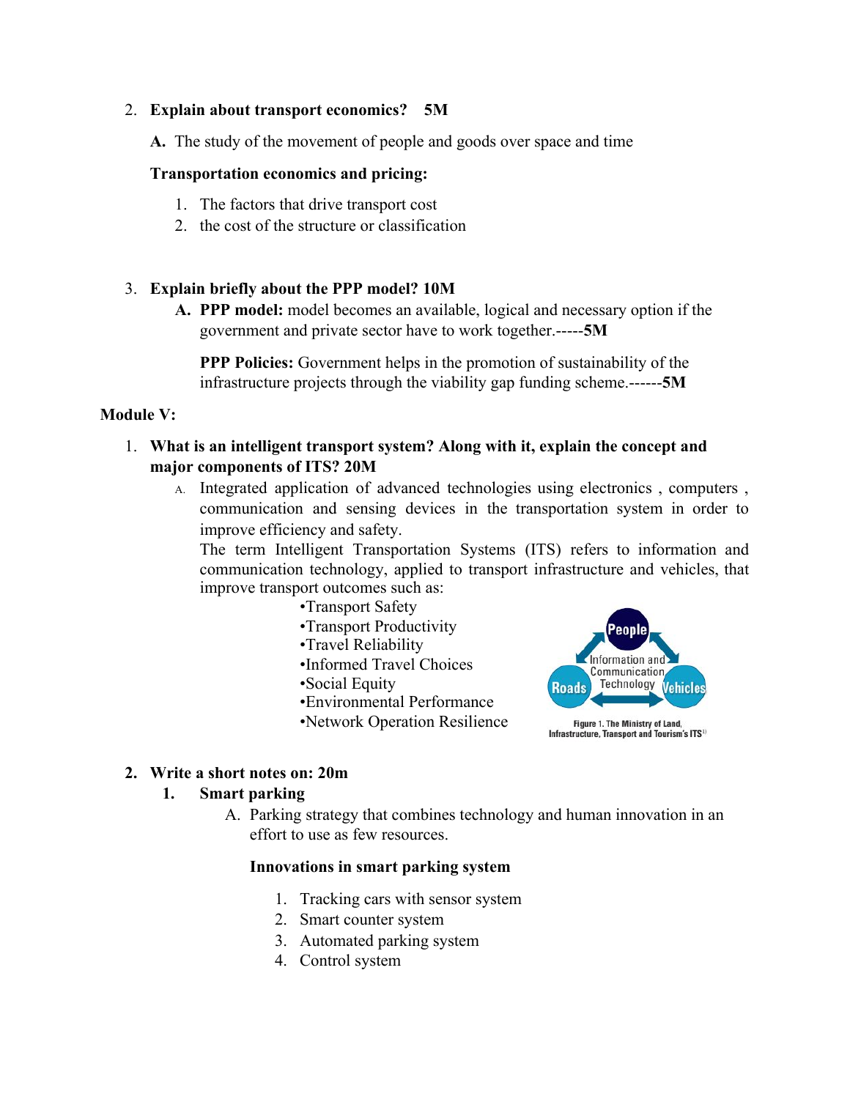#### 2. **Explain about transport economics? 5M**

**A.** The study of the movement of people and goods over space and time

#### **Transportation economics and pricing:**

- 1. The factors that drive transport cost
- 2. the cost of the structure or classification

#### 3. **Explain briefly about the PPP model? 10M**

**A. PPP model:** model becomes an available, logical and necessary option if the government and private sector have to work together.-----**5M**

**PPP Policies:** Government helps in the promotion of sustainability of the infrastructure projects through the viability gap funding scheme.------**5M**

#### **Module V:**

#### 1. **What is an intelligent transport system? Along with it, explain the concept and major components of ITS? 20M**

A. Integrated application of advanced technologies using electronics , computers , communication and sensing devices in the transportation system in order to improve efficiency and safety.

The term Intelligent Transportation Systems (ITS) refers to information and communication technology, applied to transport infrastructure and vehicles, that improve transport outcomes such as:

- •Transport Safety
- •Transport Productivity
- •Travel Reliability
- •Informed Travel Choices
- •Social Equity

•Environmental Performance

•Network Operation Resilience



#### **2. Write a short notes on: 20m**

#### **1. Smart parking**

A. Parking strategy that combines technology and human innovation in an effort to use as few resources.

#### **Innovations in smart parking system**

- 1. Tracking cars with sensor system
- 2. Smart counter system
- 3. Automated parking system
- 4. Control system